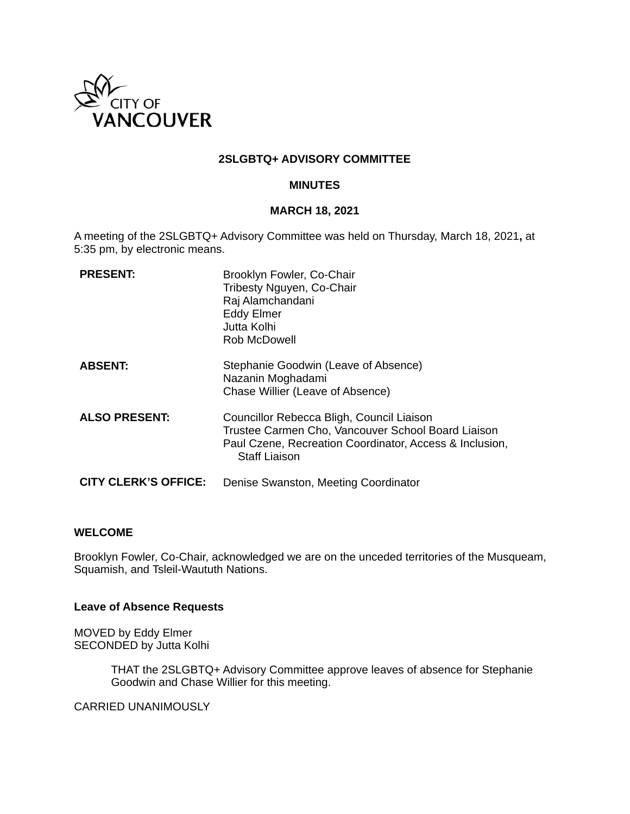

### **2SLGBTQ+ ADVISORY COMMITTEE**

#### **MINUTES**

#### **MARCH 18, 2021**

A meeting of the 2SLGBTQ+ Advisory Committee was held on Thursday, March 18, 2021**,** at 5:35 pm, by electronic means.

| <b>PRESENT:</b>             | Brooklyn Fowler, Co-Chair<br>Tribesty Nguyen, Co-Chair<br>Raj Alamchandani<br><b>Eddy Elmer</b><br>Jutta Kolhi<br>Rob McDowell                                                     |
|-----------------------------|------------------------------------------------------------------------------------------------------------------------------------------------------------------------------------|
| <b>ABSENT:</b>              | Stephanie Goodwin (Leave of Absence)<br>Nazanin Moghadami<br>Chase Willier (Leave of Absence)                                                                                      |
| <b>ALSO PRESENT:</b>        | Councillor Rebecca Bligh, Council Liaison<br>Trustee Carmen Cho, Vancouver School Board Liaison<br>Paul Czene, Recreation Coordinator, Access & Inclusion,<br><b>Staff Liaison</b> |
| <b>CITY CLERK'S OFFICE:</b> | Denise Swanston, Meeting Coordinator                                                                                                                                               |

#### **WELCOME**

Brooklyn Fowler, Co-Chair, acknowledged we are on the unceded territories of the Musqueam, Squamish, and Tsleil-Waututh Nations.

#### **Leave of Absence Requests**

MOVED by Eddy Elmer SECONDED by Jutta Kolhi

> THAT the 2SLGBTQ+ Advisory Committee approve leaves of absence for Stephanie Goodwin and Chase Willier for this meeting.

CARRIED UNANIMOUSLY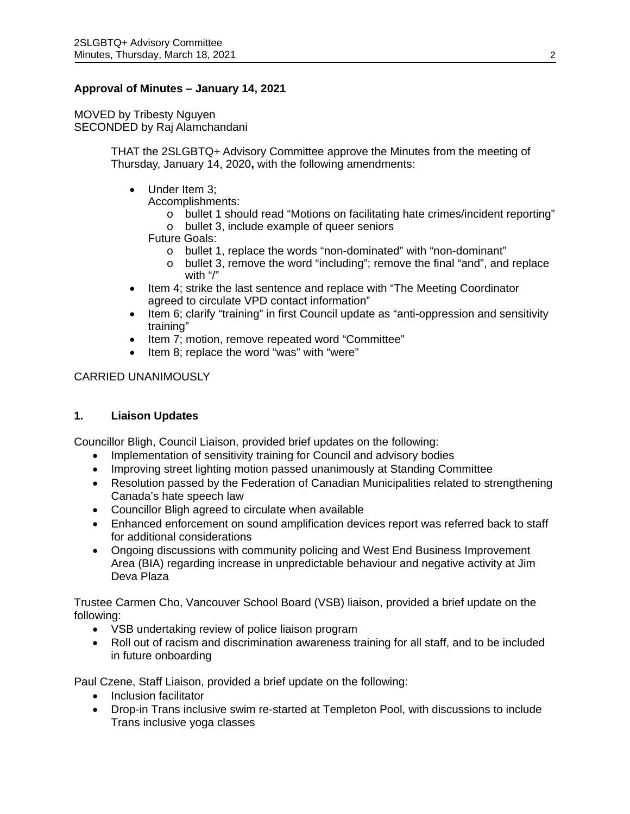### **Approval of Minutes – January 14, 2021**

MOVED by Tribesty Nguyen SECONDED by Raj Alamchandani

> THAT the 2SLGBTQ+ Advisory Committee approve the Minutes from the meeting of Thursday, January 14, 2020**,** with the following amendments:

• Under Item 3:

Accomplishments:

- o bullet 1 should read "Motions on facilitating hate crimes/incident reporting"
- o bullet 3, include example of queer seniors

Future Goals:

- o bullet 1, replace the words "non-dominated" with "non-dominant"
- o bullet 3, remove the word "including"; remove the final "and", and replace with "/"
- Item 4; strike the last sentence and replace with "The Meeting Coordinator" agreed to circulate VPD contact information"
- Item 6; clarify "training" in first Council update as "anti-oppression and sensitivity training"
- Item 7; motion, remove repeated word "Committee"
- Item 8; replace the word "was" with "were"

### CARRIED UNANIMOUSLY

#### **1. Liaison Updates**

Councillor Bligh, Council Liaison, provided brief updates on the following:

- Implementation of sensitivity training for Council and advisory bodies
- Improving street lighting motion passed unanimously at Standing Committee
- Resolution passed by the Federation of Canadian Municipalities related to strengthening Canada's hate speech law
- Councillor Bligh agreed to circulate when available
- Enhanced enforcement on sound amplification devices report was referred back to staff for additional considerations
- Ongoing discussions with community policing and West End Business Improvement Area (BIA) regarding increase in unpredictable behaviour and negative activity at Jim Deva Plaza

Trustee Carmen Cho, Vancouver School Board (VSB) liaison, provided a brief update on the following:

- VSB undertaking review of police liaison program
- Roll out of racism and discrimination awareness training for all staff, and to be included in future onboarding

Paul Czene, Staff Liaison, provided a brief update on the following:

- Inclusion facilitator
- Drop-in Trans inclusive swim re-started at Templeton Pool, with discussions to include Trans inclusive yoga classes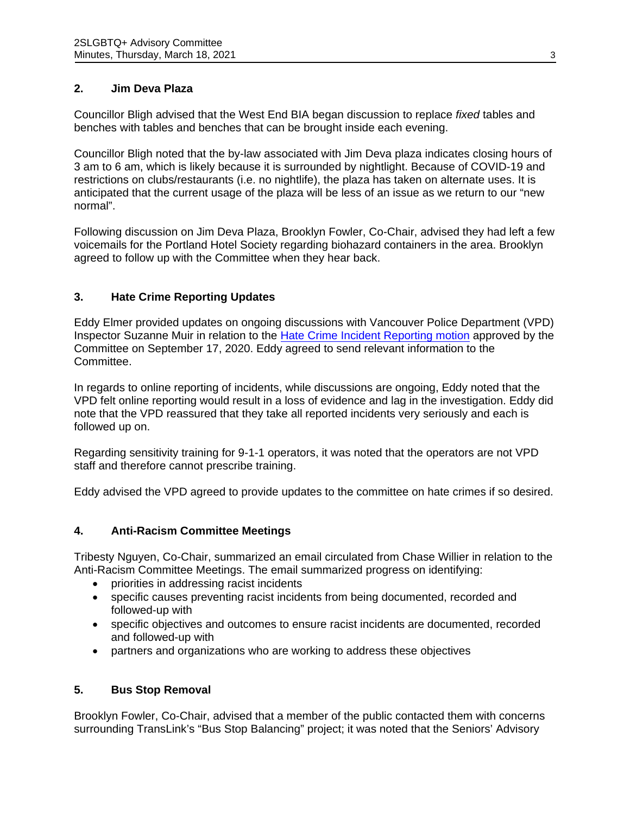## **2. Jim Deva Plaza**

Councillor Bligh advised that the West End BIA began discussion to replace *fixed* tables and benches with tables and benches that can be brought inside each evening.

Councillor Bligh noted that the by-law associated with Jim Deva plaza indicates closing hours of 3 am to 6 am, which is likely because it is surrounded by nightlight. Because of COVID-19 and restrictions on clubs/restaurants (i.e. no nightlife), the plaza has taken on alternate uses. It is anticipated that the current usage of the plaza will be less of an issue as we return to our "new normal".

Following discussion on Jim Deva Plaza, Brooklyn Fowler, Co-Chair, advised they had left a few voicemails for the Portland Hotel Society regarding biohazard containers in the area. Brooklyn agreed to follow up with the Committee when they hear back.

## **3. Hate Crime Reporting Updates**

Eddy Elmer provided updates on ongoing discussions with Vancouver Police Department (VPD) Inspector Suzanne Muir in relation to the [Hate Crime Incident Reporting motion](https://vancouver.ca/docs/council/lgbt20200917min.pdf#page=6) approved by the Committee on September 17, 2020. Eddy agreed to send relevant information to the Committee.

In regards to online reporting of incidents, while discussions are ongoing, Eddy noted that the VPD felt online reporting would result in a loss of evidence and lag in the investigation. Eddy did note that the VPD reassured that they take all reported incidents very seriously and each is followed up on.

Regarding sensitivity training for 9-1-1 operators, it was noted that the operators are not VPD staff and therefore cannot prescribe training.

Eddy advised the VPD agreed to provide updates to the committee on hate crimes if so desired.

# **4. Anti-Racism Committee Meetings**

Tribesty Nguyen, Co-Chair, summarized an email circulated from Chase Willier in relation to the Anti-Racism Committee Meetings. The email summarized progress on identifying:

- priorities in addressing racist incidents
- specific causes preventing racist incidents from being documented, recorded and followed-up with
- specific objectives and outcomes to ensure racist incidents are documented, recorded and followed-up with
- partners and organizations who are working to address these objectives

# **5. Bus Stop Removal**

Brooklyn Fowler, Co-Chair, advised that a member of the public contacted them with concerns surrounding TransLink's "Bus Stop Balancing" project; it was noted that the Seniors' Advisory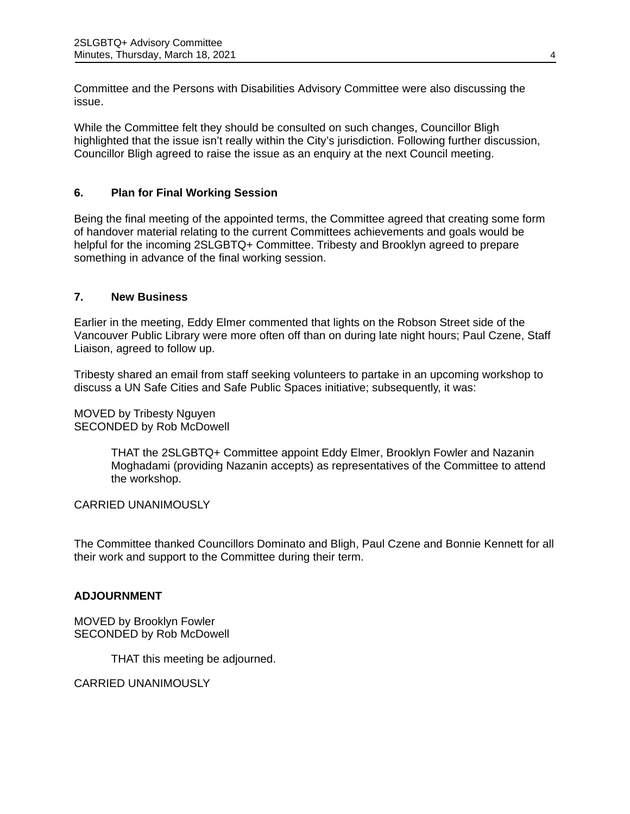Committee and the Persons with Disabilities Advisory Committee were also discussing the issue.

While the Committee felt they should be consulted on such changes, Councillor Bligh highlighted that the issue isn't really within the City's jurisdiction. Following further discussion, Councillor Bligh agreed to raise the issue as an enquiry at the next Council meeting.

# **6. Plan for Final Working Session**

Being the final meeting of the appointed terms, the Committee agreed that creating some form of handover material relating to the current Committees achievements and goals would be helpful for the incoming 2SLGBTQ+ Committee. Tribesty and Brooklyn agreed to prepare something in advance of the final working session.

### **7. New Business**

Earlier in the meeting, Eddy Elmer commented that lights on the Robson Street side of the Vancouver Public Library were more often off than on during late night hours; Paul Czene, Staff Liaison, agreed to follow up.

Tribesty shared an email from staff seeking volunteers to partake in an upcoming workshop to discuss a UN Safe Cities and Safe Public Spaces initiative; subsequently, it was:

MOVED by Tribesty Nguyen SECONDED by Rob McDowell

> THAT the 2SLGBTQ+ Committee appoint Eddy Elmer, Brooklyn Fowler and Nazanin Moghadami (providing Nazanin accepts) as representatives of the Committee to attend the workshop.

CARRIED UNANIMOUSLY

The Committee thanked Councillors Dominato and Bligh, Paul Czene and Bonnie Kennett for all their work and support to the Committee during their term.

### **ADJOURNMENT**

MOVED by Brooklyn Fowler SECONDED by Rob McDowell

THAT this meeting be adjourned.

CARRIED UNANIMOUSLY